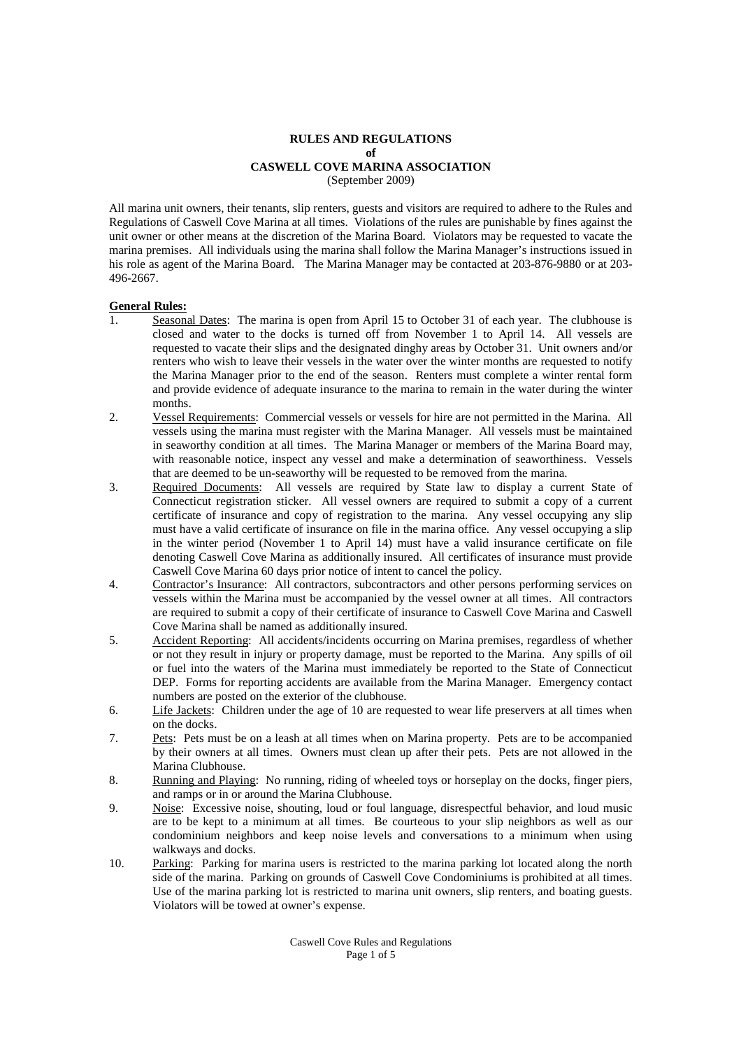#### **RULES AND REGULATIONS of CASWELL COVE MARINA ASSOCIATION** (September 2009)

All marina unit owners, their tenants, slip renters, guests and visitors are required to adhere to the Rules and Regulations of Caswell Cove Marina at all times. Violations of the rules are punishable by fines against the unit owner or other means at the discretion of the Marina Board. Violators may be requested to vacate the marina premises. All individuals using the marina shall follow the Marina Manager's instructions issued in his role as agent of the Marina Board. The Marina Manager may be contacted at 203-876-9880 or at 203- 496-2667.

### **General Rules:**

- 1. Seasonal Dates: The marina is open from April 15 to October 31 of each year. The clubhouse is closed and water to the docks is turned off from November 1 to April 14. All vessels are requested to vacate their slips and the designated dinghy areas by October 31. Unit owners and/or renters who wish to leave their vessels in the water over the winter months are requested to notify the Marina Manager prior to the end of the season. Renters must complete a winter rental form and provide evidence of adequate insurance to the marina to remain in the water during the winter months.
- 2. Vessel Requirements: Commercial vessels or vessels for hire are not permitted in the Marina. All vessels using the marina must register with the Marina Manager. All vessels must be maintained in seaworthy condition at all times. The Marina Manager or members of the Marina Board may, with reasonable notice, inspect any vessel and make a determination of seaworthiness. Vessels that are deemed to be un-seaworthy will be requested to be removed from the marina.
- 3. Required Documents: All vessels are required by State law to display a current State of Connecticut registration sticker. All vessel owners are required to submit a copy of a current certificate of insurance and copy of registration to the marina. Any vessel occupying any slip must have a valid certificate of insurance on file in the marina office. Any vessel occupying a slip in the winter period (November 1 to April 14) must have a valid insurance certificate on file denoting Caswell Cove Marina as additionally insured. All certificates of insurance must provide Caswell Cove Marina 60 days prior notice of intent to cancel the policy.
- 4. Contractor's Insurance: All contractors, subcontractors and other persons performing services on vessels within the Marina must be accompanied by the vessel owner at all times. All contractors are required to submit a copy of their certificate of insurance to Caswell Cove Marina and Caswell Cove Marina shall be named as additionally insured.
- 5. Accident Reporting: All accidents/incidents occurring on Marina premises, regardless of whether or not they result in injury or property damage, must be reported to the Marina. Any spills of oil or fuel into the waters of the Marina must immediately be reported to the State of Connecticut DEP. Forms for reporting accidents are available from the Marina Manager. Emergency contact numbers are posted on the exterior of the clubhouse.
- 6. Life Jackets: Children under the age of 10 are requested to wear life preservers at all times when on the docks.
- 7. Pets: Pets must be on a leash at all times when on Marina property. Pets are to be accompanied by their owners at all times. Owners must clean up after their pets. Pets are not allowed in the Marina Clubhouse.
- 8. Running and Playing: No running, riding of wheeled toys or horseplay on the docks, finger piers, and ramps or in or around the Marina Clubhouse.
- 9. Noise: Excessive noise, shouting, loud or foul language, disrespectful behavior, and loud music are to be kept to a minimum at all times. Be courteous to your slip neighbors as well as our condominium neighbors and keep noise levels and conversations to a minimum when using walkways and docks.
- 10. Parking: Parking for marina users is restricted to the marina parking lot located along the north side of the marina. Parking on grounds of Caswell Cove Condominiums is prohibited at all times. Use of the marina parking lot is restricted to marina unit owners, slip renters, and boating guests. Violators will be towed at owner's expense.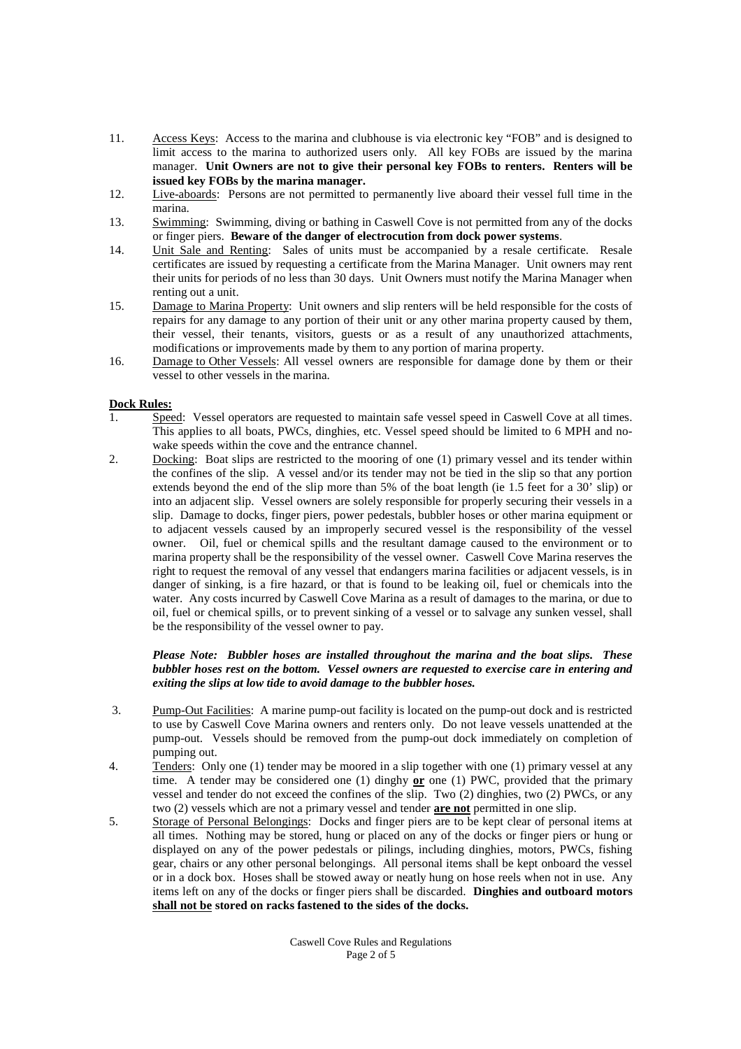- 11. Access Keys: Access to the marina and clubhouse is via electronic key "FOB" and is designed to limit access to the marina to authorized users only. All key FOBs are issued by the marina manager. **Unit Owners are not to give their personal key FOBs to renters. Renters will be issued key FOBs by the marina manager.**
- 12. Live-aboards: Persons are not permitted to permanently live aboard their vessel full time in the marina.
- 13. Swimming: Swimming, diving or bathing in Caswell Cove is not permitted from any of the docks or finger piers. **Beware of the danger of electrocution from dock power systems**.
- 14. Unit Sale and Renting: Sales of units must be accompanied by a resale certificate. Resale certificates are issued by requesting a certificate from the Marina Manager. Unit owners may rent their units for periods of no less than 30 days. Unit Owners must notify the Marina Manager when renting out a unit.
- 15. Damage to Marina Property: Unit owners and slip renters will be held responsible for the costs of repairs for any damage to any portion of their unit or any other marina property caused by them, their vessel, their tenants, visitors, guests or as a result of any unauthorized attachments, modifications or improvements made by them to any portion of marina property.
- 16. Damage to Other Vessels: All vessel owners are responsible for damage done by them or their vessel to other vessels in the marina.

## **Dock Rules:**

- 1. Speed: Vessel operators are requested to maintain safe vessel speed in Caswell Cove at all times. This applies to all boats, PWCs, dinghies, etc. Vessel speed should be limited to 6 MPH and nowake speeds within the cove and the entrance channel.
- 2. Docking: Boat slips are restricted to the mooring of one (1) primary vessel and its tender within the confines of the slip. A vessel and/or its tender may not be tied in the slip so that any portion extends beyond the end of the slip more than 5% of the boat length (ie 1.5 feet for a 30' slip) or into an adjacent slip. Vessel owners are solely responsible for properly securing their vessels in a slip. Damage to docks, finger piers, power pedestals, bubbler hoses or other marina equipment or to adjacent vessels caused by an improperly secured vessel is the responsibility of the vessel owner. Oil, fuel or chemical spills and the resultant damage caused to the environment or to marina property shall be the responsibility of the vessel owner. Caswell Cove Marina reserves the right to request the removal of any vessel that endangers marina facilities or adjacent vessels, is in danger of sinking, is a fire hazard, or that is found to be leaking oil, fuel or chemicals into the water. Any costs incurred by Caswell Cove Marina as a result of damages to the marina, or due to oil, fuel or chemical spills, or to prevent sinking of a vessel or to salvage any sunken vessel, shall be the responsibility of the vessel owner to pay.

### *Please Note: Bubbler hoses are installed throughout the marina and the boat slips. These bubbler hoses rest on the bottom. Vessel owners are requested to exercise care in entering and exiting the slips at low tide to avoid damage to the bubbler hoses.*

- 3. Pump-Out Facilities: A marine pump-out facility is located on the pump-out dock and is restricted to use by Caswell Cove Marina owners and renters only. Do not leave vessels unattended at the pump-out. Vessels should be removed from the pump-out dock immediately on completion of pumping out.
- 4. Tenders: Only one (1) tender may be moored in a slip together with one (1) primary vessel at any time. A tender may be considered one (1) dinghy **or** one (1) PWC, provided that the primary vessel and tender do not exceed the confines of the slip. Two (2) dinghies, two (2) PWCs, or any two (2) vessels which are not a primary vessel and tender **are not** permitted in one slip.
- 5. Storage of Personal Belongings: Docks and finger piers are to be kept clear of personal items at all times. Nothing may be stored, hung or placed on any of the docks or finger piers or hung or displayed on any of the power pedestals or pilings, including dinghies, motors, PWCs, fishing gear, chairs or any other personal belongings. All personal items shall be kept onboard the vessel or in a dock box. Hoses shall be stowed away or neatly hung on hose reels when not in use. Any items left on any of the docks or finger piers shall be discarded. **Dinghies and outboard motors shall not be stored on racks fastened to the sides of the docks.**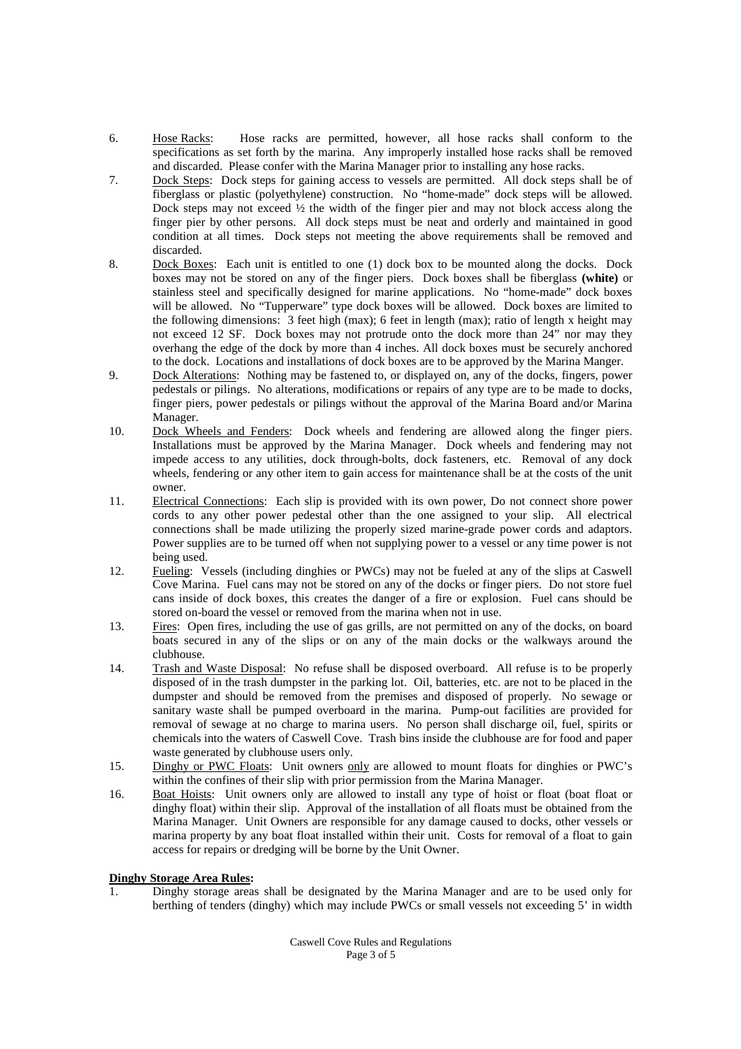- 6. Hose Racks: Hose racks are permitted, however, all hose racks shall conform to the specifications as set forth by the marina. Any improperly installed hose racks shall be removed and discarded. Please confer with the Marina Manager prior to installing any hose racks.
- 7. Dock Steps: Dock steps for gaining access to vessels are permitted. All dock steps shall be of fiberglass or plastic (polyethylene) construction. No "home-made" dock steps will be allowed. Dock steps may not exceed  $\frac{1}{2}$  the width of the finger pier and may not block access along the finger pier by other persons. All dock steps must be neat and orderly and maintained in good condition at all times. Dock steps not meeting the above requirements shall be removed and discarded.
- 8. Dock Boxes: Each unit is entitled to one (1) dock box to be mounted along the docks. Dock boxes may not be stored on any of the finger piers. Dock boxes shall be fiberglass **(white)** or stainless steel and specifically designed for marine applications. No "home-made" dock boxes will be allowed. No "Tupperware" type dock boxes will be allowed. Dock boxes are limited to the following dimensions: 3 feet high (max); 6 feet in length (max); ratio of length x height may not exceed 12 SF. Dock boxes may not protrude onto the dock more than 24" nor may they overhang the edge of the dock by more than 4 inches. All dock boxes must be securely anchored to the dock. Locations and installations of dock boxes are to be approved by the Marina Manger.
- 9. Dock Alterations: Nothing may be fastened to, or displayed on, any of the docks, fingers, power pedestals or pilings. No alterations, modifications or repairs of any type are to be made to docks, finger piers, power pedestals or pilings without the approval of the Marina Board and/or Marina Manager.
- 10. Dock Wheels and Fenders: Dock wheels and fendering are allowed along the finger piers. Installations must be approved by the Marina Manager. Dock wheels and fendering may not impede access to any utilities, dock through-bolts, dock fasteners, etc. Removal of any dock wheels, fendering or any other item to gain access for maintenance shall be at the costs of the unit owner.
- 11. Electrical Connections: Each slip is provided with its own power, Do not connect shore power cords to any other power pedestal other than the one assigned to your slip. All electrical connections shall be made utilizing the properly sized marine-grade power cords and adaptors. Power supplies are to be turned off when not supplying power to a vessel or any time power is not being used.
- 12. Fueling: Vessels (including dinghies or PWCs) may not be fueled at any of the slips at Caswell Cove Marina. Fuel cans may not be stored on any of the docks or finger piers. Do not store fuel cans inside of dock boxes, this creates the danger of a fire or explosion. Fuel cans should be stored on-board the vessel or removed from the marina when not in use.
- 13. Fires: Open fires, including the use of gas grills, are not permitted on any of the docks, on board boats secured in any of the slips or on any of the main docks or the walkways around the clubhouse.
- 14. Trash and Waste Disposal: No refuse shall be disposed overboard. All refuse is to be properly disposed of in the trash dumpster in the parking lot. Oil, batteries, etc. are not to be placed in the dumpster and should be removed from the premises and disposed of properly. No sewage or sanitary waste shall be pumped overboard in the marina. Pump-out facilities are provided for removal of sewage at no charge to marina users. No person shall discharge oil, fuel, spirits or chemicals into the waters of Caswell Cove. Trash bins inside the clubhouse are for food and paper waste generated by clubhouse users only.
- 15. Dinghy or PWC Floats: Unit owners only are allowed to mount floats for dinghies or PWC's within the confines of their slip with prior permission from the Marina Manager.
- 16. Boat Hoists: Unit owners only are allowed to install any type of hoist or float (boat float or dinghy float) within their slip. Approval of the installation of all floats must be obtained from the Marina Manager. Unit Owners are responsible for any damage caused to docks, other vessels or marina property by any boat float installed within their unit. Costs for removal of a float to gain access for repairs or dredging will be borne by the Unit Owner.

## **Dinghy Storage Area Rules:**

1. Dinghy storage areas shall be designated by the Marina Manager and are to be used only for berthing of tenders (dinghy) which may include PWCs or small vessels not exceeding 5' in width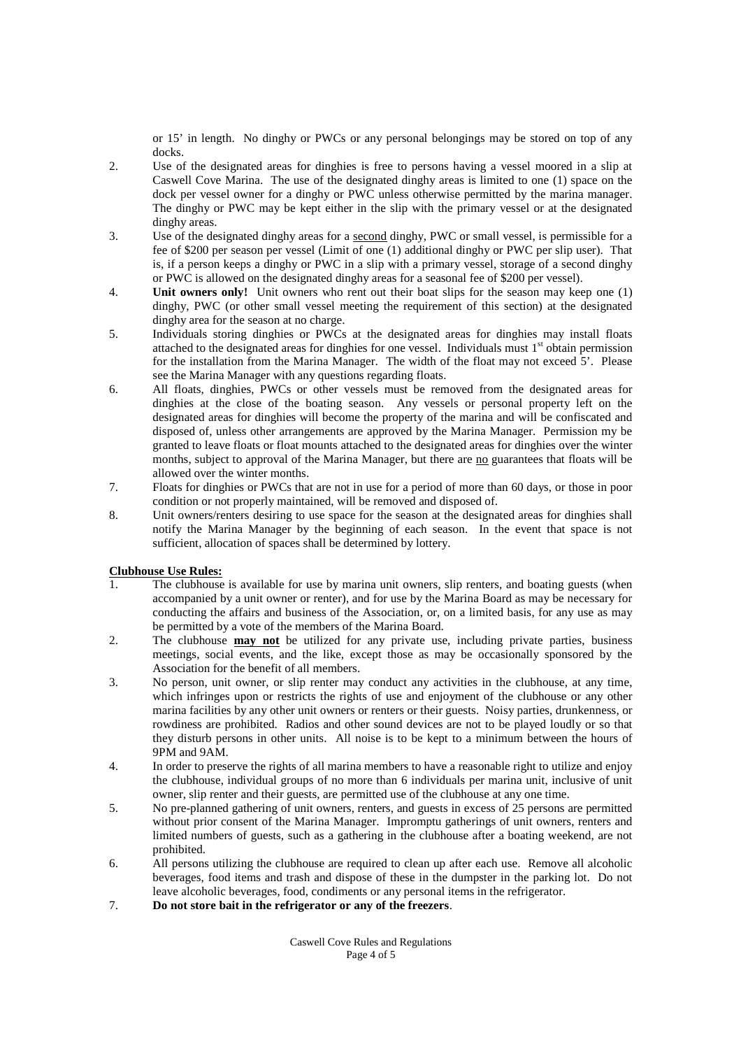or 15' in length. No dinghy or PWCs or any personal belongings may be stored on top of any docks.

- 2. Use of the designated areas for dinghies is free to persons having a vessel moored in a slip at Caswell Cove Marina. The use of the designated dinghy areas is limited to one (1) space on the dock per vessel owner for a dinghy or PWC unless otherwise permitted by the marina manager. The dinghy or PWC may be kept either in the slip with the primary vessel or at the designated dinghy areas.
- 3. Use of the designated dinghy areas for a second dinghy, PWC or small vessel, is permissible for a fee of \$200 per season per vessel (Limit of one (1) additional dinghy or PWC per slip user). That is, if a person keeps a dinghy or PWC in a slip with a primary vessel, storage of a second dinghy or PWC is allowed on the designated dinghy areas for a seasonal fee of \$200 per vessel).
- 4. **Unit owners only!** Unit owners who rent out their boat slips for the season may keep one (1) dinghy, PWC (or other small vessel meeting the requirement of this section) at the designated dinghy area for the season at no charge.
- 5. Individuals storing dinghies or PWCs at the designated areas for dinghies may install floats attached to the designated areas for dinghies for one vessel. Individuals must 1<sup>st</sup> obtain permission for the installation from the Marina Manager. The width of the float may not exceed  $\bar{S}$ . Please see the Marina Manager with any questions regarding floats.
- 6. All floats, dinghies, PWCs or other vessels must be removed from the designated areas for dinghies at the close of the boating season. Any vessels or personal property left on the designated areas for dinghies will become the property of the marina and will be confiscated and disposed of, unless other arrangements are approved by the Marina Manager. Permission my be granted to leave floats or float mounts attached to the designated areas for dinghies over the winter months, subject to approval of the Marina Manager, but there are no guarantees that floats will be allowed over the winter months.
- 7. Floats for dinghies or PWCs that are not in use for a period of more than 60 days, or those in poor condition or not properly maintained, will be removed and disposed of.
- 8. Unit owners/renters desiring to use space for the season at the designated areas for dinghies shall notify the Marina Manager by the beginning of each season. In the event that space is not sufficient, allocation of spaces shall be determined by lottery.

# **Clubhouse Use Rules:**

- 1. The clubhouse is available for use by marina unit owners, slip renters, and boating guests (when accompanied by a unit owner or renter), and for use by the Marina Board as may be necessary for conducting the affairs and business of the Association, or, on a limited basis, for any use as may be permitted by a vote of the members of the Marina Board.
- 2. The clubhouse **may not** be utilized for any private use, including private parties, business meetings, social events, and the like, except those as may be occasionally sponsored by the Association for the benefit of all members.
- 3. No person, unit owner, or slip renter may conduct any activities in the clubhouse, at any time, which infringes upon or restricts the rights of use and enjoyment of the clubhouse or any other marina facilities by any other unit owners or renters or their guests. Noisy parties, drunkenness, or rowdiness are prohibited. Radios and other sound devices are not to be played loudly or so that they disturb persons in other units. All noise is to be kept to a minimum between the hours of 9PM and 9AM.
- 4. In order to preserve the rights of all marina members to have a reasonable right to utilize and enjoy the clubhouse, individual groups of no more than 6 individuals per marina unit, inclusive of unit owner, slip renter and their guests, are permitted use of the clubhouse at any one time.
- 5. No pre-planned gathering of unit owners, renters, and guests in excess of 25 persons are permitted without prior consent of the Marina Manager. Impromptu gatherings of unit owners, renters and limited numbers of guests, such as a gathering in the clubhouse after a boating weekend, are not prohibited.
- 6. All persons utilizing the clubhouse are required to clean up after each use. Remove all alcoholic beverages, food items and trash and dispose of these in the dumpster in the parking lot. Do not leave alcoholic beverages, food, condiments or any personal items in the refrigerator.
- 7. **Do not store bait in the refrigerator or any of the freezers**.